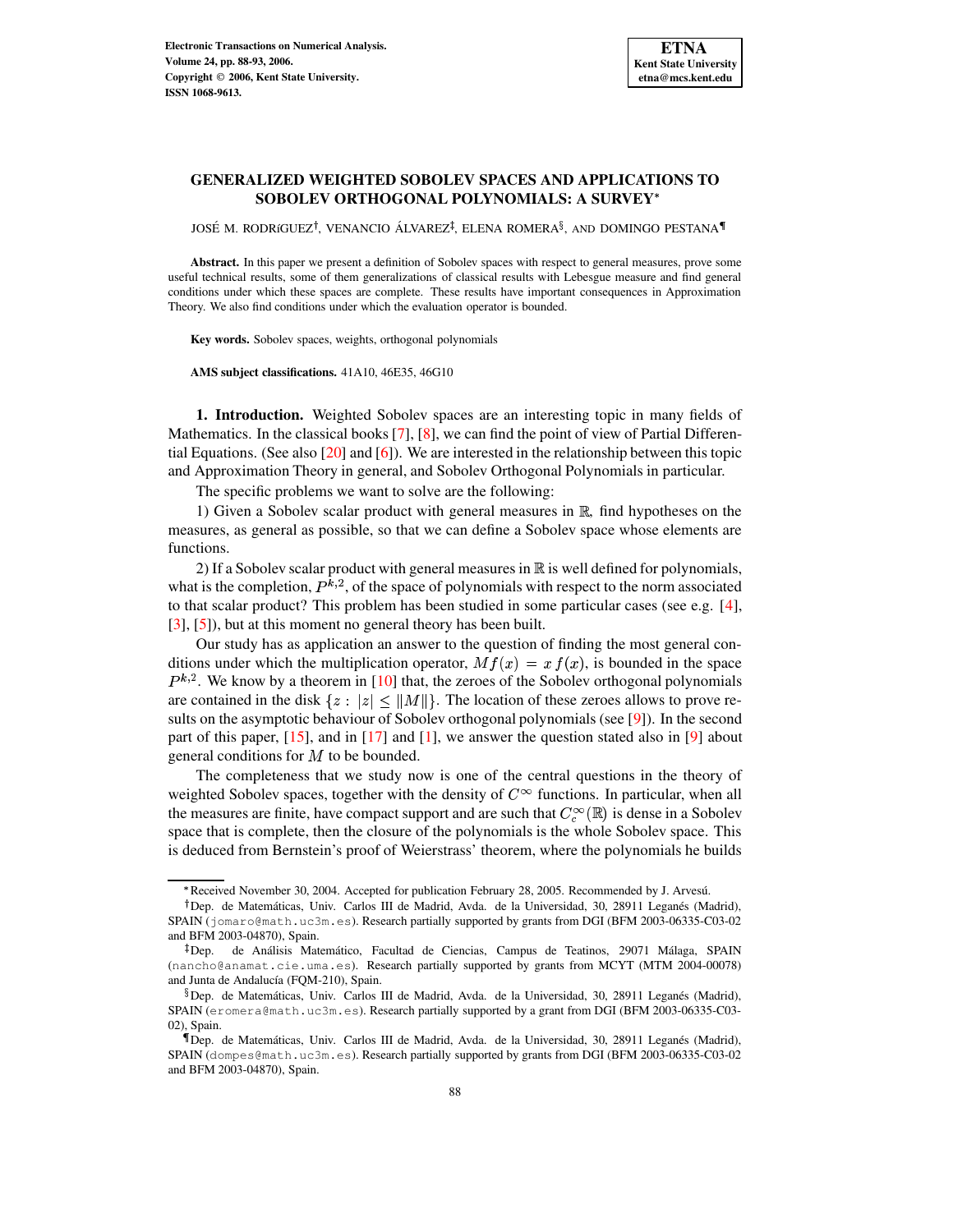# **GENERALIZED WEIGHTED SOBOLEV SPACES AND APPLICATIONS TO SOBOLEV ORTHOGONAL POLYNOMIALS: A SURVEY**

JOSÉ M. RODRíGUEZ<sup>†</sup>, VENANCIO ÁLVAREZ<sup>‡</sup>, ELENA ROMERA $^\S,$  and DOMINGO PESTANA $^\P$ 

**Abstract.** In this paper we present a definition of Sobolev spaces with respect to general measures, prove some useful technical results, some of them generalizations of classical results with Lebesgue measure and find general conditions under which these spaces are complete. These results have important consequences in Approximation Theory. We also find conditions under which the evaluation operator is bounded.

**Key words.** Sobolev spaces, weights, orthogonal polynomials

**AMS subject classifications.** 41A10, 46E35, 46G10

**1. Introduction.** Weighted Sobolev spaces are an interesting topic in many fields of Mathematics. In the classical books  $[7]$ ,  $[8]$ , we can find the point of view of Partial Differential Equations. (See also  $[20]$  and  $[6]$ ). We are interested in the relationship between this topic and Approximation Theory in general, and Sobolev Orthogonal Polynomials in particular.

The specific problems we want to solve are the following:

1) Given a Sobolev scalar product with general measures in  $\mathbb{R}$ , find hypotheses on the measures, as general as possible, so that we can define a Sobolev space whose elements are functions.

2) If a Sobolev scalar product with general measures in  $\mathbb R$  is well defined for polynomials, what is the completion,  $P^{k,2}$ , of the space of polynomials with respect to the norm associated to that scalar product? This problem has been studied in some particular cases (see e.g. [\[4\]](#page-5-4), [\[3\]](#page-5-5), [\[5\]](#page-5-6)), but at this moment no general theory has been built.

Our study has as application an answer to the question of finding the most general conditions under which the multiplication operator,  $Mf(x) = x f(x)$ , is bounded in the space  $P^{k,2}$ . We know by a theorem in [\[10\]](#page-5-7) that, the zeroes of the Sobolev orthogonal polynomials are contained in the disk  $\{z : |z| \le ||M||\}$ . The location of these zeroes allows to prove re-sults on the asymptotic behaviour of Sobolev orthogonal polynomials (see [\[9\]](#page-5-8)). In the second part of this paper,  $[15]$ , and in  $[17]$  and  $[1]$ , we answer the question stated also in  $[9]$  about general conditions for  $M$  to be bounded.

The completeness that we study now is one of the central questions in the theory of weighted Sobolev spaces, together with the density of  $C^{\infty}$  functions. In particular, when all the measures are finite, have compact support and are such that  $C_c^{\infty}(\mathbb{R})$  is dense in a Sobolev space that is complete, then the closure of the polynomials is the whole Sobolev space. This is deduced from Bernstein's proof of Weierstrass' theorem, where the polynomials he builds

<sup>/</sup> Received November 30, 2004. Accepted for publication February 28, 2005. Recommended by J. Arvesu.´

<sup>&</sup>lt;sup>†</sup> Dep. de Matemáticas, Univ. Carlos III de Madrid, Avda. de la Universidad, 30, 28911 Leganés (Madrid), SPAIN (jomaro@math.uc3m.es). Research partially supported by grants from DGI (BFM 2003-06335-C03-02 and BFM 2003-04870), Spain.

<sup>&</sup>lt;sup>‡</sup> Dep. de Análisis Matemático, Facultad de Ciencias, Campus de Teatinos, 29071 Málaga, SPAIN (nancho@anamat.cie.uma.es). Research partially supported by grants from MCYT (MTM 2004-00078) and Junta de Andalucía (FQM-210), Spain.

 $\sqrt[8]{8}$  Dep. de Matemáticas, Univ. Carlos III de Madrid, Avda. de la Universidad, 30, 28911 Leganés (Madrid), SPAIN (eromera@math.uc3m.es). Research partially supported by a grant from DGI (BFM 2003-06335-C03- 02), Spain.

<sup>&</sup>lt;sup>¶</sup> Dep. de Matemáticas, Univ. Carlos III de Madrid, Avda. de la Universidad, 30, 28911 Leganés (Madrid), SPAIN (dompes@math.uc3m.es). Research partially supported by grants from DGI (BFM 2003-06335-C03-02 and BFM 2003-04870), Spain.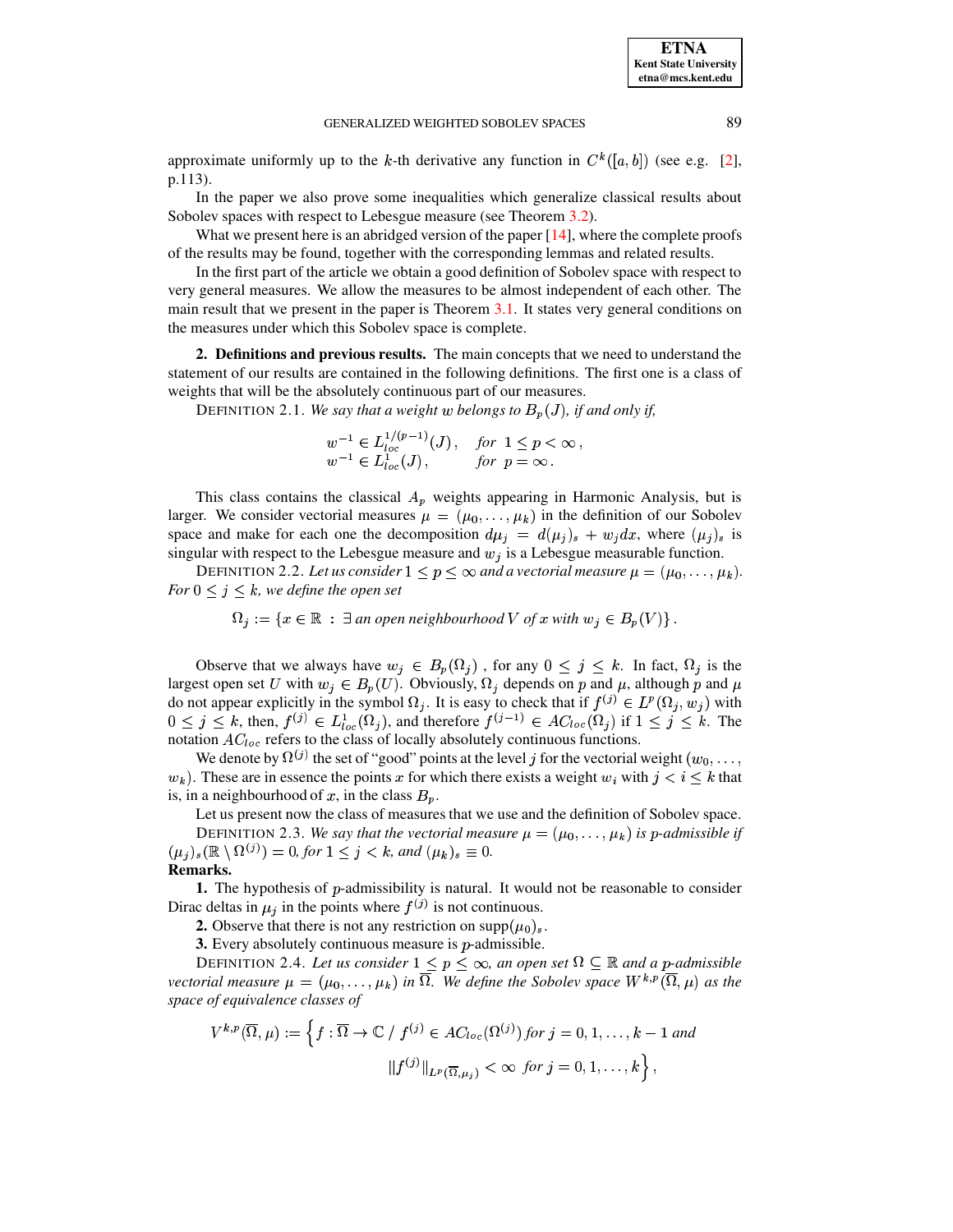## GENERALIZED WEIGHTED SOBOLEV SPACES 89

approximate uniformly up to the k-th derivative any function in  $C^k([a, b])$  (see e.g. [\[2\]](#page-5-12), p.113).

In the paper we also prove some inequalities which generalize classical results about Sobolev spaces with respect to Lebesgue measure (see Theorem [3.2\)](#page-2-0).

What we present here is an abridged version of the paper  $[14]$ , where the complete proofs of the results may be found, together with the corresponding lemmas and related results.

In the first part of the article we obtain a good definition of Sobolev space with respect to very general measures. We allow the measures to be almost independent of each other. The main result that we present in the paper is Theorem [3.1.](#page-2-1) It states very general conditions on the measures under which this Sobolev space is complete.

**2. Definitions and previous results.** The main concepts that we need to understand the statement of our results are contained in the following definitions. The first one is a class of weights that will be the absolutely continuous part of our measures.

DEFINITION 2.1. We say that a weight w belongs to  $B_p(J)$ , if and only if,

$$
w^{-1} \in L_{loc}^{1/(p-1)}(J)
$$
, for  $1 \le p < \infty$ ,  
\n $w^{-1} \in L_{loc}^{1}(J)$ , for  $p = \infty$ .

This class contains the classical  $A_p$  weights appearing in Harmonic Analysis, but is larger. We consider vectorial measures  $\mu = (\mu_0, \dots, \mu_k)$  in the definition of our Sobolev space and make for each one the decomposition  $d\mu_j = d(\mu_j)_s + w_j dx$ , where  $(\mu_j)_s$  is singular with respect to the Lebesgue measure and  $w_j$  is a Lebesgue measurable function.

DEFINITION 2.2. Let us consider  $1 \leq p \leq \infty$  and a vectorial measure  $\mu = (\mu_0, \dots, \mu_k)$ . *For*  $0 \leq j \leq k$ *, we define the open set* 

 $\Omega_j := \{x \in \mathbb{R} \; : \; \exists \text{ an open neighbourhood } V \text{ of } x \text{ with } w_j \in B_p(V) \}$ .

Observe that we always have  $w_j \in B_p(\Omega_j)$ , for any  $0 \leq j \leq k$ . In fact,  $\Omega_j$  is the largest open set U with  $w_j \in B_p(U)$ . Obviously,  $\Omega_j$  depends on p and  $\mu$ , although p and  $\mu$ do not appear explicitly in the symbol  $\Omega_j$ . It is easy to check that if  $f^{(j)} \in L^p(\Omega_j, w_j)$  with  $0 \le j \le k$ , then,  $f^{(j)} \in L^1_{loc}(\Omega_j)$ , and therefore  $f^{(j-1)} \in AC_{loc}(\Omega_j)$  if  $1 \le j \le k$ . The notation  $AC_{loc}$  refers to the class of locally absolutely continuous functions.

We denote by  $\Omega^{(j)}$  the set of "good" points at the level j for the vectorial weight  $(w_0,\ldots,w_j)$  $w_k$ ). These are in essence the points x for which there exists a weight  $w_i$  with  $j \lt i \leq k$  that is, in a neighbourhood of x, in the class  $B_p$ .

Let us present now the class of measures that we use and the definition of Sobolev space.

DEFINITION 2.3. We say that the vectorial measure  $\mu = (\mu_0, \dots, \mu_k)$  is p-admissible if  $(\mu_j)_s(\mathbb{R} \setminus \Omega^{(j)}) = 0$ , for  $1 \leq j < k$ , and  $(\mu_k)_s \equiv 0$ .

# **Remarks.**

**1.** The hypothesis of p-admissibility is natural. It would not be reasonable to consider Dirac deltas in  $\mu_i$  in the points where  $f^{(j)}$  is not continuous.

**2.** Observe that there is not any restriction on supp $(\mu_0)_s$ .

**3.** Every absolutely continuous measure is  $p$ -admissible.

DEFINITION 2.4. Let us consider  $1 \leq p \leq \infty$ , an open set  $\Omega \subseteq \mathbb{R}$  and a p-admissible *vectorial measure*  $\mu = (\mu_0, \ldots, \mu_k)$  *in*  $\Omega$ . We define the Sobolev space  $W^{k,p}(\Omega, \mu)$  as the *space of equivalence classes of*

$$
V^{k,p}(\overline{\Omega},\mu) := \left\{ f : \overline{\Omega} \to \mathbb{C} \ / \ f^{(j)} \in AC_{loc}(\Omega^{(j)}) \text{ for } j = 0, 1, \ldots, k-1 \text{ and} \right\}
$$

$$
\|f^{(j)}\|_{L^p(\overline{\Omega},\mu_j)} < \infty \text{ for } j = 0, 1, \ldots, k \right\},\
$$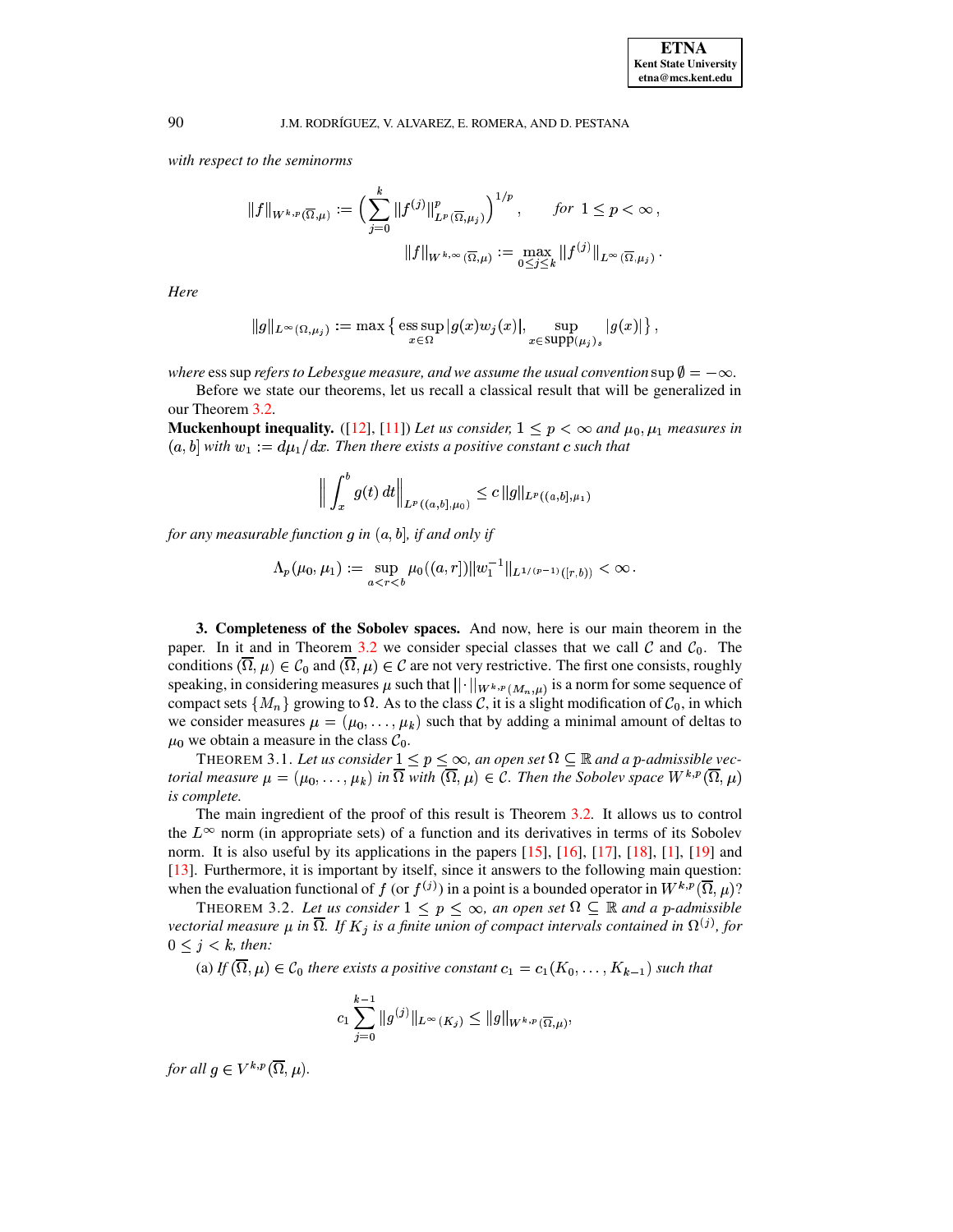### J.M. RODRÍGUEZ, V. ALVAREZ, E. ROMERA, AND D. PESTANA

with respect to the seminorms

$$
||f||_{W^{k,p}(\overline{\Omega},\mu)} := \left(\sum_{j=0}^k ||f^{(j)}||^p_{L^p(\overline{\Omega},\mu_j)}\right)^{1/p}, \quad \text{for } 1 \le p < \infty,
$$

$$
||f||_{W^{k,\infty}(\overline{\Omega},\mu)} := \max_{0 \le j \le k} ||f^{(j)}||_{L^{\infty}(\overline{\Omega},\mu_j)}.
$$

Here

$$
||g||_{L^{\infty}(\Omega,\mu_j)} := \max \left\{ \exp_{x \in \Omega} |g(x)w_j(x)|, \sup_{x \in \text{supp}(\mu_j)_s} |g(x)| \right\}
$$

where ess sup refers to Lebesgue measure, and we assume the usual convention sup  $\emptyset = -\infty$ .

Before we state our theorems, let us recall a classical result that will be generalized in our Theorem 3.2.

Muckenhoupt inequality. ([12], [11]) Let us consider,  $1 \le p < \infty$  and  $\mu_0, \mu_1$  measures in  $(a, b]$  with  $w_1 := d\mu_1/dx$ . Then there exists a positive constant c such that

$$
\left\| \int_x^b g(t) dt \right\|_{L^p((a,b],\mu_0)} \leq c \, \|g\|_{L^p((a,b],\mu_1)}
$$

for any measurable function  $q$  in  $(a, b]$ , if and only if

$$
\Lambda_p(\mu_0, \mu_1) := \sup_{a < r < b} \mu_0((a, r]) \|w_1^{-1}\|_{L^{1/(p-1)}([r, b))} < \infty
$$

3. Completeness of the Sobolev spaces. And now, here is our main theorem in the paper. In it and in Theorem 3.2 we consider special classes that we call  $\mathcal C$  and  $\mathcal C_0$ . The conditions  $(\overline{\Omega}, \mu) \in C_0$  and  $(\overline{\Omega}, \mu) \in C$  are not very restrictive. The first one consists, roughly speaking, in considering measures  $\mu$  such that  $||\cdot||_{W^{k,p}(M_n,\mu)}$  is a norm for some sequence of compact sets  $\{M_n\}$  growing to  $\Omega$ . As to the class C, it is a slight modification of  $\mathcal{C}_0$ , in which we consider measures  $\mu = (\mu_0, \dots, \mu_k)$  such that by adding a minimal amount of deltas to  $\mu_0$  we obtain a measure in the class  $C_0$ .

<span id="page-2-1"></span>THEOREM 3.1. Let us consider  $1 \le p \le \infty$ , an open set  $\Omega \subseteq \mathbb{R}$  and a p-admissible vectorial measure  $\mu = (\mu_0, \dots, \mu_k)$  in  $\overline{\Omega}$  with  $(\overline{\Omega}, \mu) \in \mathcal{C}$ . Then the Sobolev space  $W^{k,p}(\overline{\Omega}, \mu)$ is complete.

The main ingredient of the proof of this result is Theorem 3.2. It allows us to control the  $L^{\infty}$  norm (in appropriate sets) of a function and its derivatives in terms of its Sobolev norm. It is also useful by its applications in the papers [15], [16], [17], [18], [1], [19] and  $[13]$ . Furthermore, it is important by itself, since it answers to the following main question: when the evaluation functional of f (or  $f^{(j)}$ ) in a point is a bounded operator in  $W^{k,p}(\overline{\Omega},\mu)$ ?

<span id="page-2-0"></span>THEOREM 3.2. Let us consider  $1 \le p \le \infty$ , an open set  $\Omega \subseteq \mathbb{R}$  and a p-admissible vectorial measure  $\mu$  in  $\overline{\Omega}$ . If  $K_j$  is a finite union of compact intervals contained in  $\Omega^{(j)}$ , for  $0 \leq j \leq k$ , then:

(a) If  $(\overline{\Omega}, \mu) \in C_0$  there exists a positive constant  $c_1 = c_1(K_0, \ldots, K_{k-1})$  such that

$$
c_1 \sum_{j=0}^{k-1} \|g^{(j)}\|_{L^{\infty}(K_j)} \le \|g\|_{W^{k,p}(\overline{\Omega},\mu)},
$$

for all  $q \in V^{k,p}(\overline{\Omega},\mu)$ .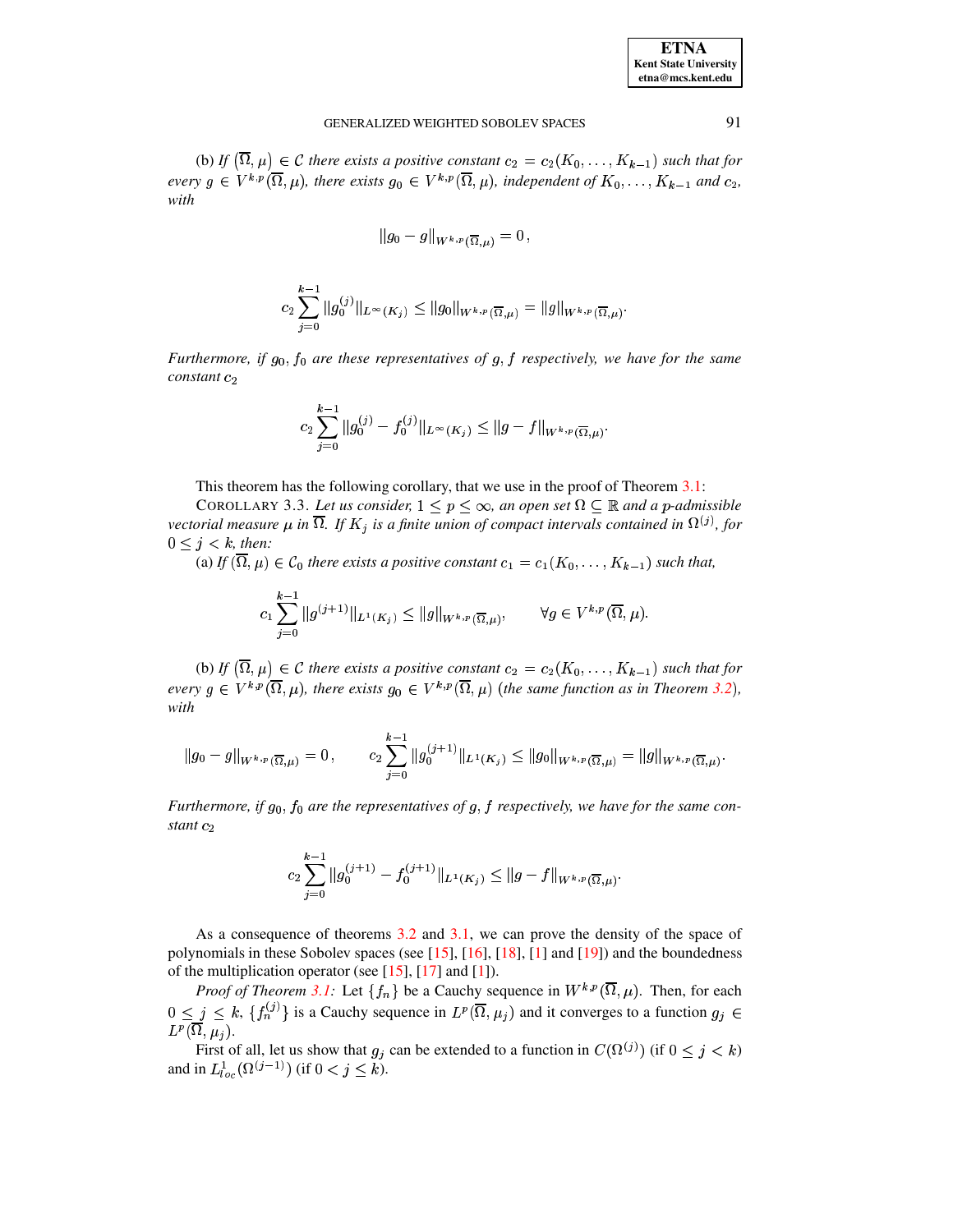| <b>ETNA</b>                  |
|------------------------------|
| <b>Kent State University</b> |
| etna@mcs.kent.edu            |

#### GENERALIZED WEIGHTED SOBOLEV SPACES

(b) If  $(\overline{\Omega}, \mu) \in \mathcal{C}$  there exists a positive constant  $c_2 = c_2(K_0, \ldots, K_{k-1})$  such that for every  $g \in V^{k,p}(\overline{\Omega},\mu)$ , there exists  $g_0 \in V^{k,p}(\overline{\Omega},\mu)$ , independent of  $K_0,\ldots,K_{k-1}$  and  $c_2$ , with

$$
\|g_0-g\|_{W^{k,p}(\overline{\Omega},\mu)}=0\,,
$$

$$
c_2 \sum_{j=0}^{k-1} \|g_0^{(j)}\|_{L^\infty(K_j)} \le \|g_0\|_{W^{k,p}(\overline{\Omega},\mu)} = \|g\|_{W^{k,p}(\overline{\Omega},\mu)}.
$$

Furthermore, if  $g_0$ ,  $f_0$  are these representatives of  $g$ ,  $f$  respectively, we have for the same  $constant c<sub>2</sub>$ 

$$
c_2\sum_{j=0}^{k-1}||g_0^{(j)}-f_0^{(j)}||_{L^{\infty}(K_j)}\leq ||g-f||_{W^{k,p}(\overline{\Omega},\mu)}.
$$

This theorem has the following corollary, that we use in the proof of Theorem  $3.1$ :

<span id="page-3-0"></span>COROLLARY 3.3. Let us consider,  $1 \le p \le \infty$ , an open set  $\Omega \subseteq \mathbb{R}$  and a p-admissible vectorial measure  $\mu$  in  $\overline{\Omega}$ . If  $K_j$  is a finite union of compact intervals contained in  $\Omega^{(j)}$ , for  $0 \leq j < k$ , then:

(a) If  $(\overline{\Omega}, \mu) \in C_0$  there exists a positive constant  $c_1 = c_1(K_0, \ldots, K_{k-1})$  such that,

$$
c_1 \sum_{j=0}^{k-1} \|g^{(j+1)}\|_{L^1(K_j)} \le \|g\|_{W^{k,p}(\overline{\Omega},\mu)}, \qquad \forall g \in V^{k,p}(\overline{\Omega},\mu).
$$

(b) If  $(\overline{\Omega}, \mu) \in \mathcal{C}$  there exists a positive constant  $c_2 = c_2(K_0, \ldots, K_{k-1})$  such that for every  $g \in V^{k,p}(\overline{\Omega},\mu)$ , there exists  $g_0 \in V^{k,p}(\overline{\Omega},\mu)$  (the same function as in Theorem 3.2), with

$$
\|g_0-g\|_{W^{k,p}(\overline{\Omega},\mu)}=0\,,\qquad c_2\sum_{j=0}^{k-1}\|g_0^{(j+1)}\|_{L^1(K_j)}\leq \|g_0\|_{W^{k,p}(\overline{\Omega},\mu)}=\|g\|_{W^{k,p}(\overline{\Omega},\mu)}.
$$

Furthermore, if  $g_0$ ,  $f_0$  are the representatives of  $g$ ,  $f$  respectively, we have for the same constant  $c_2$ 

$$
c_2\sum_{j=0}^{k-1} \|g_0^{(j+1)} - f_0^{(j+1)}\|_{L^1(K_j)} \le \|g - f\|_{W^{k,p}(\overline{\Omega},\mu)}.
$$

As a consequence of theorems 3.2 and 3.1, we can prove the density of the space of polynomials in these Sobolev spaces (see  $[15]$ ,  $[16]$ ,  $[18]$ ,  $[1]$  and  $[19]$ ) and the boundedness of the multiplication operator (see  $[15]$ ,  $[17]$  and  $[1]$ ).

*Proof of Theorem 3.1:* Let  $\{f_n\}$  be a Cauchy sequence in  $W^{k,p}(\overline{\Omega}, \mu)$ . Then, for each  $0 \leq j \leq k$ ,  $\{f_n^{(j)}\}$  is a Cauchy sequence in  $L^p(\overline{\Omega}, \mu_j)$  and it converges to a function  $g_j \in$  $L^p(\overline{\Omega}, \mu_i).$ 

First of all, let us show that  $g_j$  can be extended to a function in  $C(\Omega^{(j)})$  (if  $0 \le j \le k$ ) and in  $L_{loc}^1(\Omega^{(j-1)})$  (if  $0 < j \le k$ ).

91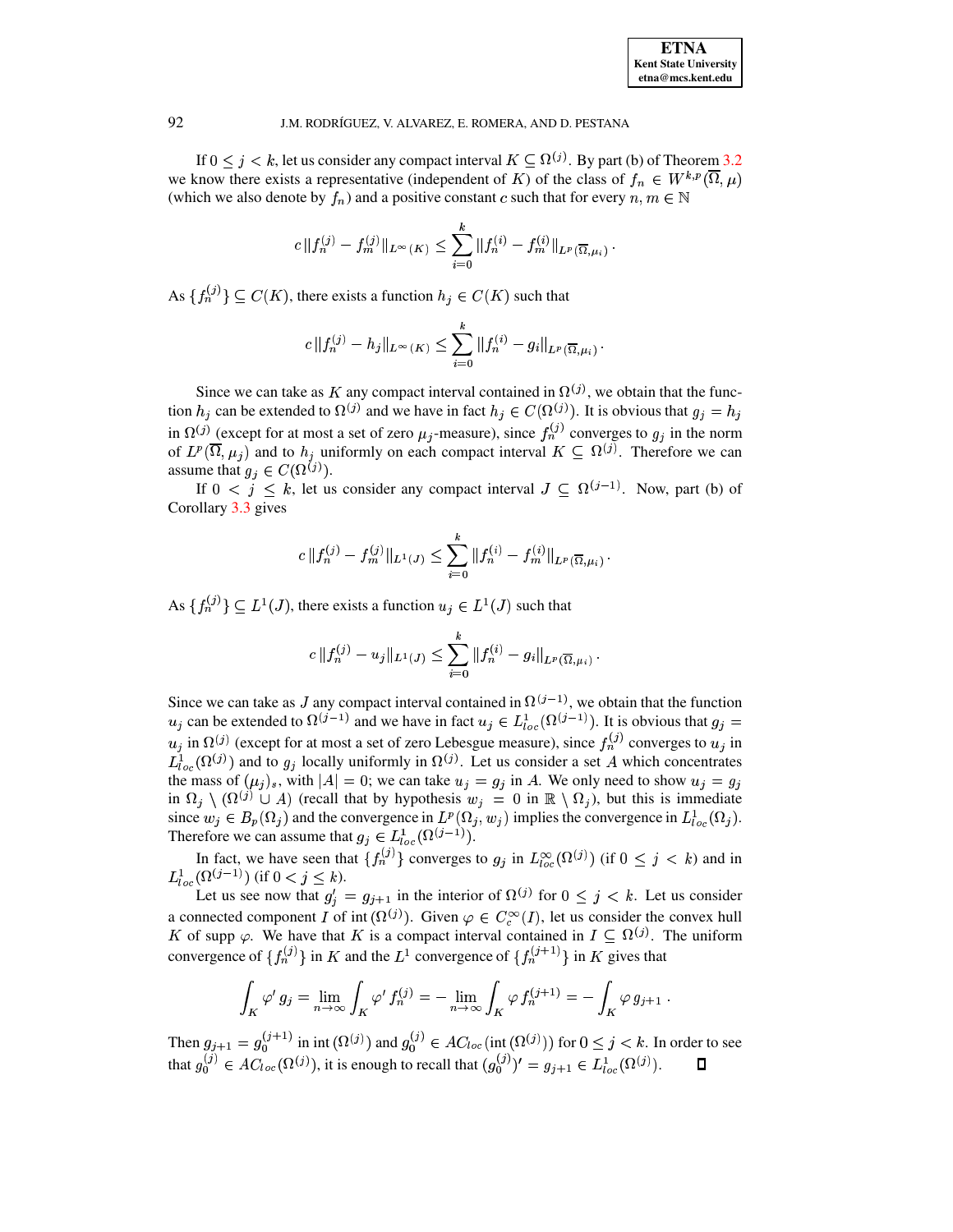

### J.M. RODRÍGUEZ, V. ALVAREZ, E. ROMERA, AND D. PESTANA

If  $0 \le j \le k$ , let us consider any compact interval  $K \subseteq \Omega^{(j)}$ . By part (b) of Theorem 3.2 we know there exists a representative (independent of K) of the class of  $f_n \in W^{k,p}(\overline{\Omega},\mu)$ (which we also denote by  $f_n$ ) and a positive constant c such that for every  $n, m \in \mathbb{N}$ 

$$
c \|f_n^{(j)} - f_m^{(j)}\|_{L^\infty(K)} \leq \sum_{i=0}^k \|f_n^{(i)} - f_m^{(i)}\|_{L^p(\overline{\Omega}, \mu_i)}.
$$

As  $\{f_n^{(j)}\}\subseteq C(K)$ , there exists a function  $h_j\in C(K)$  such that

$$
c \|f_n^{(j)} - h_j\|_{L^\infty(K)} \leq \sum_{i=0}^k \|f_n^{(i)} - g_i\|_{L^p(\overline{\Omega}, \mu_i)}.
$$

Since we can take as K any compact interval contained in  $\Omega^{(j)}$ , we obtain that the function  $h_i$  can be extended to  $\Omega^{(j)}$  and we have in fact  $h_i \in C(\Omega^{(j)})$ . It is obvious that  $g_i = h_i$ in  $\Omega^{(j)}$  (except for at most a set of zero  $\mu_j$ -measure), since  $f_n^{(j)}$  converges to  $g_j$  in the norm of  $L^p(\overline{\Omega}, \mu_j)$  and to  $h_j$  uniformly on each compact interval  $K \subseteq \Omega^{(j)}$ . Therefore we can assume that  $g_i \in C(\Omega^{(j)})$ .

If  $0 \lt j \lt k$ , let us consider any compact interval  $J \subset \Omega^{(j-1)}$ . Now, part (b) of Corollary 3.3 gives

$$
c \|f_n^{(j)} - f_m^{(j)}\|_{L^1(J)} \leq \sum_{i=0}^k \|f_n^{(i)} - f_m^{(i)}\|_{L^p(\overline{\Omega}, \mu_i)}.
$$

As  $\{f_n^{(j)}\}\subseteq L^1(J)$ , there exists a function  $u_j\in L^1(J)$  such that

$$
c \|f_n^{(j)} - u_j\|_{L^1(J)} \leq \sum_{i=0}^k \|f_n^{(i)} - g_i\|_{L^p(\overline{\Omega}, \mu_i)}.
$$

Since we can take as J any compact interval contained in  $\Omega^{(j-1)}$ , we obtain that the function  $u_j$  can be extended to  $\Omega^{(j-1)}$  and we have in fact  $u_j \in L^1_{loc}(\Omega^{(j-1)})$ . It is obvious that  $g_j =$  $u_j$  in  $\Omega^{(j)}$  (except for at most a set of zero Lebesgue measure), since  $f_n^{(j)}$  converges to  $u_j$  in  $L^1_{loc}(\Omega^{(j)})$  and to  $g_j$  locally uniformly in  $\Omega^{(j)}$ . Let us consider a set A which concentrates the mass of  $(\mu_j)_s$ , with  $|A| = 0$ ; we can take  $u_j = g_j$  in A. We only need to show  $u_j = g_j$ in  $\Omega_j \setminus (\Omega^{(j)} \cup A)$  (recall that by hypothesis  $w_j = 0$  in  $\mathbb{R} \setminus \Omega_j$ ), but this is immediate since  $w_j \in B_p(\Omega_j)$  and the convergence in  $L^p(\Omega_j, w_j)$  implies the convergence in  $L^1_{loc}(\Omega_j)$ . Therefore we can assume that  $g_j \in L^1_{loc}(\Omega^{(j-1)})$ .

In fact, we have seen that  $\{f_n^{(j)}\}$  converges to  $g_j$  in  $L_{loc}^{\infty}(\Omega^{(j)})$  (if  $0 \leq j \leq k$ ) and in  $L^1_{loc}(\Omega^{(j-1)})$  (if  $0 < j \leq k$ ).

Let us see now that  $g'_i = g_{i+1}$  in the interior of  $\Omega^{(j)}$  for  $0 \leq j \leq k$ . Let us consider a connected component I of int  $(\Omega^{(j)})$ . Given  $\varphi \in C_c^{\infty}(I)$ , let us consider the convex hull K of supp  $\varphi$ . We have that K is a compact interval contained in  $I \subseteq \Omega^{(j)}$ . The uniform convergence of  $\{f_n^{(j)}\}$  in K and the  $L^1$  convergence of  $\{f_n^{(j+1)}\}$  in K gives that

$$
\int_K \varphi' g_j = \lim_{n \to \infty} \int_K \varphi' f_n^{(j)} = -\lim_{n \to \infty} \int_K \varphi f_n^{(j+1)} = -\int_K \varphi g_{j+1}
$$

Then  $g_{j+1} = g_0^{(j+1)}$  in int  $(\Omega^{(j)})$  and  $g_0^{(j)} \in AC_{loc}(\text{int}(\Omega^{(j)}))$  for  $0 \le j \le k$ . In order to see that  $g_0^{(j)} \in AC_{loc}(\Omega^{(j)})$ , it is enough to recall that  $(g_0^{(j)})' = g_{j+1} \in L^1_{loc}(\Omega^{(j)})$ .